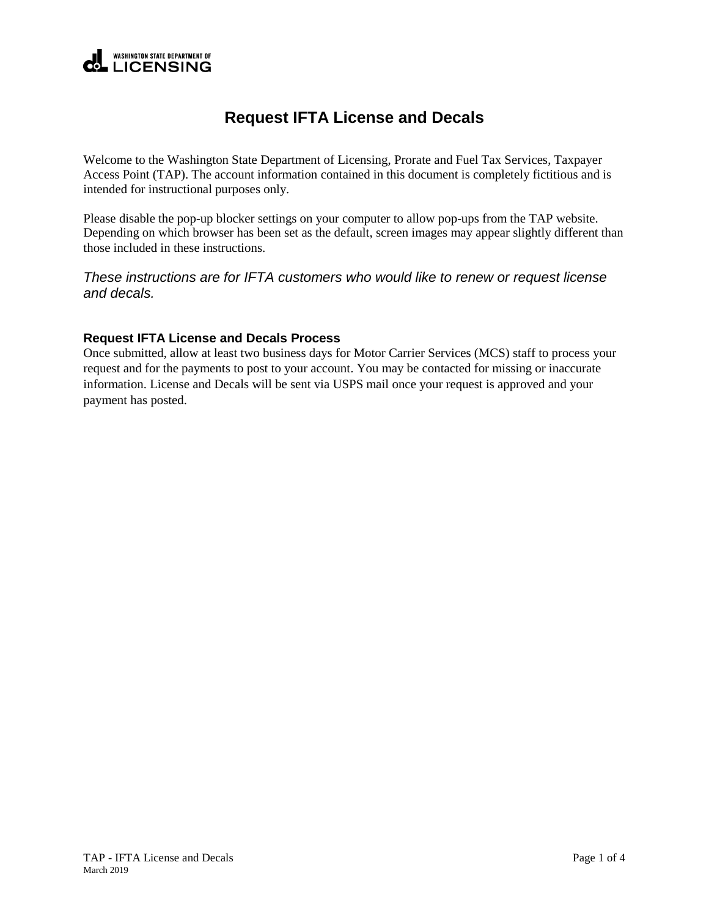### **WASHINGTON STATE DEPARTMENT OF LICENSING**

# **Request IFTA License and Decals**

Welcome to the Washington State Department of Licensing, Prorate and Fuel Tax Services, Taxpayer Access Point (TAP). The account information contained in this document is completely fictitious and is intended for instructional purposes only.

Please disable the pop-up blocker settings on your computer to allow pop-ups from the TAP website. Depending on which browser has been set as the default, screen images may appear slightly different than those included in these instructions.

*These instructions are for IFTA customers who would like to renew or request license and decals.*

#### **Request IFTA License and Decals Process**

Once submitted, allow at least two business days for Motor Carrier Services (MCS) staff to process your request and for the payments to post to your account. You may be contacted for missing or inaccurate information. License and Decals will be sent via USPS mail once your request is approved and your payment has posted.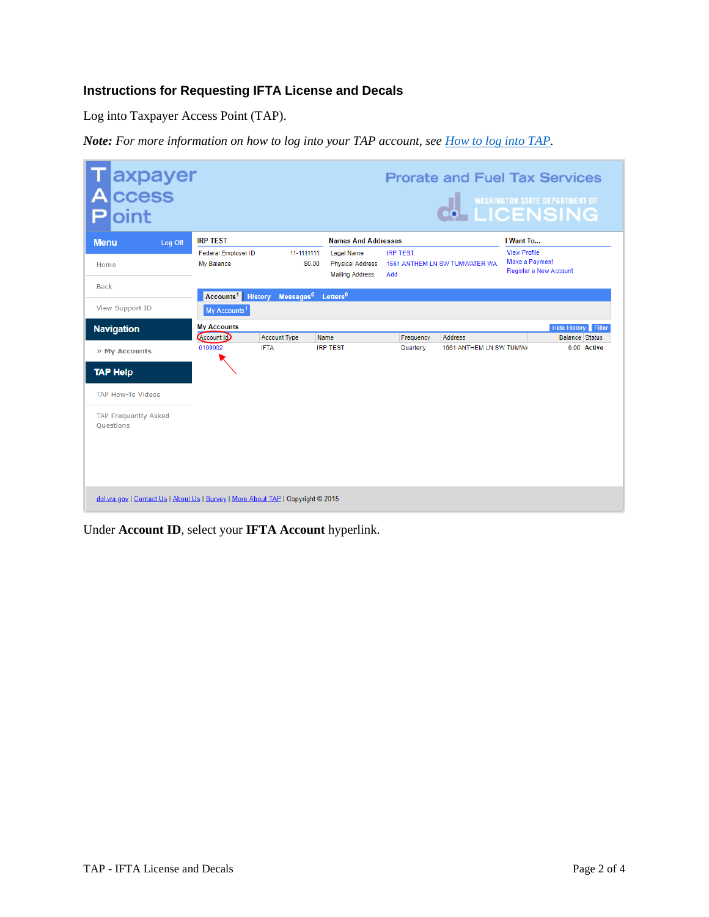## **Instructions for Requesting IFTA License and Decals**

Log into Taxpayer Access Point (TAP).

*Note: For more information on how to log into your TAP account, see [How to log into TAP.](http://www.dol.wa.gov/vehicleregistration/docs/TAP-how-to-log-into-tap.pdf)*

| axpayer<br>ccess<br>Д<br>oint            |                                                                 |                                    |                                                                        |                        |                                    |                                       | <b>O-LICENSING</b>                   |
|------------------------------------------|-----------------------------------------------------------------|------------------------------------|------------------------------------------------------------------------|------------------------|------------------------------------|---------------------------------------|--------------------------------------|
| <b>Menu</b><br>Log Off                   | <b>IRP TEST</b>                                                 |                                    | <b>Names And Addresses</b>                                             |                        |                                    | I Want To                             |                                      |
| Home                                     | <b>Federal Employer ID</b><br>My Balance                        | 11-1111111<br>\$0.00               | <b>Legal Name</b><br><b>Physical Address</b><br><b>Mailing Address</b> | <b>IRP TEST</b><br>Add | 1661 ANTHEM LN SW TUMWATER WA      | <b>View Profile</b><br>Make a Payment | <b>Register a New Account</b>        |
| <b>Back</b>                              |                                                                 |                                    |                                                                        |                        |                                    |                                       |                                      |
| <b>View Support ID</b>                   | <b>Accounts<sup>1</sup></b> History<br>My Accounts <sup>1</sup> |                                    | Messages <sup>0</sup> Letters <sup>0</sup>                             |                        |                                    |                                       |                                      |
| <b>Navigation</b>                        | <b>My Accounts</b>                                              |                                    |                                                                        |                        |                                    |                                       | Hide History Filter                  |
| » My Accounts                            | Account Id<br>0109002                                           | <b>Account Type</b><br><b>IFTA</b> | Name<br><b>IRP TEST</b>                                                | Frequency<br>Quarterly | Address<br>1661 ANTHEM LN SW TUMW/ |                                       | <b>Balance Status</b><br>0.00 Active |
| <b>TAP Help</b>                          |                                                                 |                                    |                                                                        |                        |                                    |                                       |                                      |
| <b>TAP How-To Videos</b>                 |                                                                 |                                    |                                                                        |                        |                                    |                                       |                                      |
| <b>TAP Frequently Asked</b><br>Ouestions |                                                                 |                                    |                                                                        |                        |                                    |                                       |                                      |
|                                          |                                                                 |                                    |                                                                        |                        |                                    |                                       |                                      |

Under **Account ID**, select your **IFTA Account** hyperlink.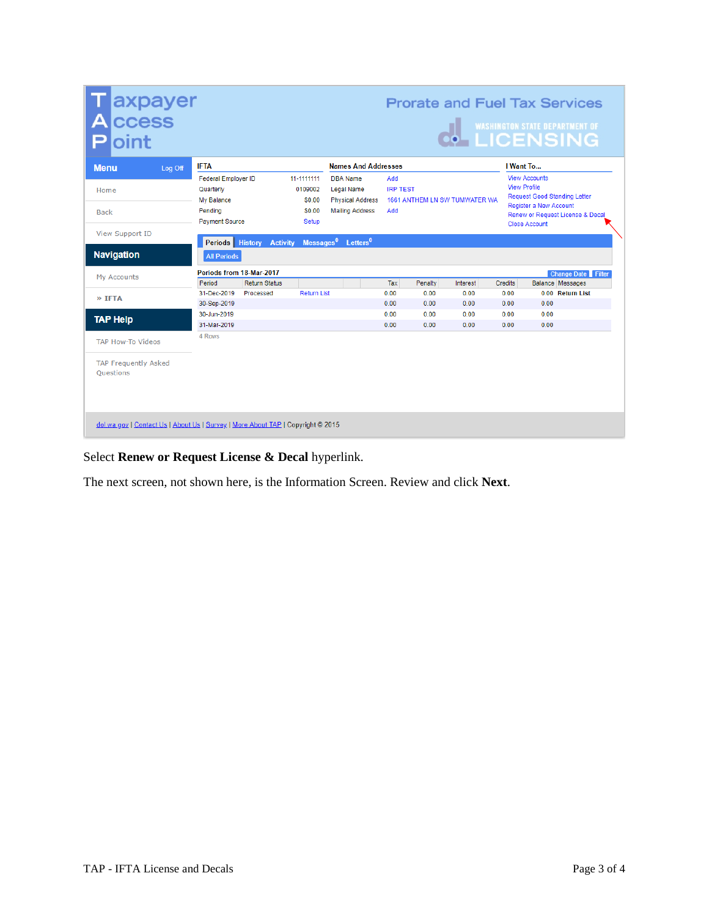| axpayer<br>ccess                                |                                                                                           |                                                           |                                            |                                                                                           | <b>Prorate and Fuel Tax Services</b> |                         |                                                            |                                |                                                                                               |                                                                         |
|-------------------------------------------------|-------------------------------------------------------------------------------------------|-----------------------------------------------------------|--------------------------------------------|-------------------------------------------------------------------------------------------|--------------------------------------|-------------------------|------------------------------------------------------------|--------------------------------|-----------------------------------------------------------------------------------------------|-------------------------------------------------------------------------|
| oint                                            |                                                                                           |                                                           |                                            |                                                                                           |                                      |                         | <b>THE WASHINGTON STATE DEPARTMENT OF<br/>!@ LICENSING</b> |                                |                                                                                               |                                                                         |
| <b>Menu</b>                                     | <b>IFTA</b><br>Log Off                                                                    |                                                           |                                            | <b>Names And Addresses</b>                                                                |                                      |                         |                                                            |                                | I Want To                                                                                     |                                                                         |
| Home<br><b>Back</b>                             | <b>Federal Employer ID</b><br>Quarterly<br>My Balance<br>Pendina<br><b>Payment Source</b> | 11-1111111<br>0109002<br>\$0.00<br>\$0.00<br><b>Setup</b> |                                            | <b>DBA</b> Name<br><b>Legal Name</b><br><b>Physical Address</b><br><b>Mailing Address</b> | Add<br><b>IRP TEST</b><br>Add        |                         | 1661 ANTHEM LN SW TUMWATER WA                              |                                | <b>View Accounts</b><br><b>View Profile</b><br>Register a New Account<br><b>Close Account</b> | <b>Request Good Standing Letter</b><br>Renew or Request License & Decal |
| <b>View Support ID</b>                          | Periods History                                                                           | <b>Activity</b>                                           | Messages <sup>0</sup> Letters <sup>0</sup> |                                                                                           |                                      |                         |                                                            |                                |                                                                                               |                                                                         |
| <b>Navigation</b>                               | <b>All Periods</b>                                                                        |                                                           |                                            |                                                                                           |                                      |                         |                                                            |                                |                                                                                               |                                                                         |
| My Accounts                                     | Periods from 18-Mar-2017<br>Period                                                        | <b>Return Status</b>                                      |                                            |                                                                                           |                                      |                         |                                                            |                                |                                                                                               | <b>Change Date</b> Filter                                               |
| » IFTA                                          | 31-Dec-2019<br>30-Sep-2019                                                                | Processed                                                 | <b>Return List</b>                         |                                                                                           | Tax<br>0.00<br>0.00                  | Penalty<br>0.00<br>0.00 | Interest<br>0.00<br>0.00                                   | <b>Credits</b><br>0.00<br>0.00 | 0.00                                                                                          | <b>Balance Messages</b><br>0.00 Return List                             |
| <b>TAP Help</b>                                 | 30-Jun-2019<br>31-Mar-2019                                                                |                                                           |                                            |                                                                                           | 0.00<br>0.00                         | 0.00<br>0.00            | 0.00<br>0.00                                               | 0.00<br>0.00                   | 0.00<br>0.00                                                                                  |                                                                         |
| <b>TAP How-To Videos</b>                        | 4 Rows                                                                                    |                                                           |                                            |                                                                                           |                                      |                         |                                                            |                                |                                                                                               |                                                                         |
| <b>TAP Frequently Asked</b><br><b>Ouestions</b> |                                                                                           |                                                           |                                            |                                                                                           |                                      |                         |                                                            |                                |                                                                                               |                                                                         |
|                                                 | dol.wa.gov   Contact Us   About Us   Survey   More About TAP   Copyright @ 2015           |                                                           |                                            |                                                                                           |                                      |                         |                                                            |                                |                                                                                               |                                                                         |

# Select **Renew or Request License & Decal** hyperlink.

The next screen, not shown here, is the Information Screen. Review and click **Next**.